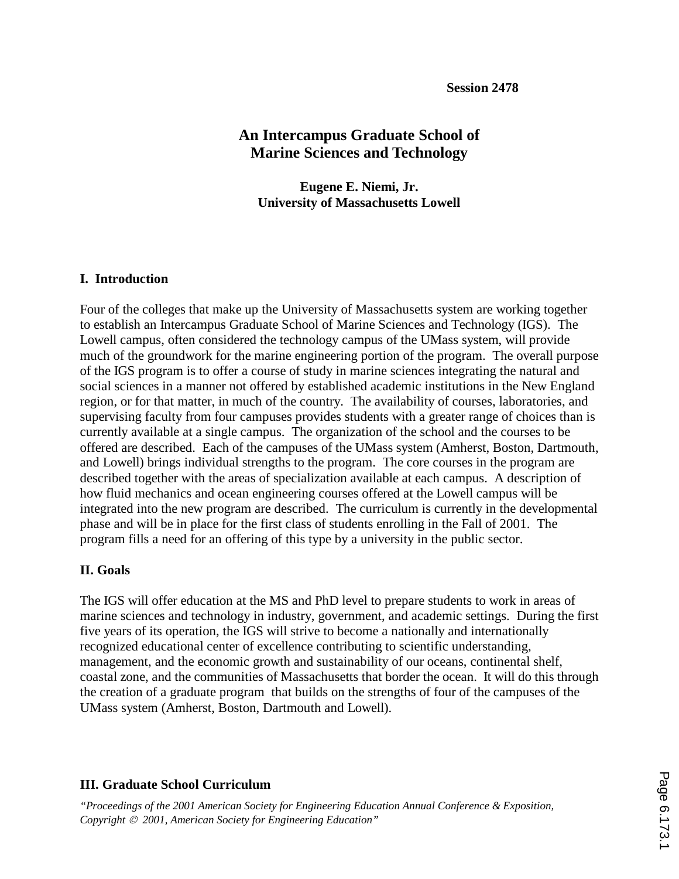# **An Intercampus Graduate School of Marine Sciences and Technology**

**Eugene E. Niemi, Jr. University of Massachusetts Lowell** 

#### **I. Introduction**

Four of the colleges that make up the University of Massachusetts system are working together to establish an Intercampus Graduate School of Marine Sciences and Technology (IGS). The Lowell campus, often considered the technology campus of the UMass system, will provide much of the groundwork for the marine engineering portion of the program. The overall purpose of the IGS program is to offer a course of study in marine sciences integrating the natural and social sciences in a manner not offered by established academic institutions in the New England region, or for that matter, in much of the country. The availability of courses, laboratories, and supervising faculty from four campuses provides students with a greater range of choices than is currently available at a single campus. The organization of the school and the courses to be offered are described. Each of the campuses of the UMass system (Amherst, Boston, Dartmouth, and Lowell) brings individual strengths to the program. The core courses in the program are described together with the areas of specialization available at each campus. A description of how fluid mechanics and ocean engineering courses offered at the Lowell campus will be integrated into the new program are described. The curriculum is currently in the developmental phase and will be in place for the first class of students enrolling in the Fall of 2001. The program fills a need for an offering of this type by a university in the public sector.

# **II. Goals**

The IGS will offer education at the MS and PhD level to prepare students to work in areas of marine sciences and technology in industry, government, and academic settings. During the first five years of its operation, the IGS will strive to become a nationally and internationally recognized educational center of excellence contributing to scientific understanding, management, and the economic growth and sustainability of our oceans, continental shelf, coastal zone, and the communities of Massachusetts that border the ocean. It will do this through the creation of a graduate program that builds on the strengths of four of the campuses of the UMass system (Amherst, Boston, Dartmouth and Lowell).

# **III. Graduate School Curriculum**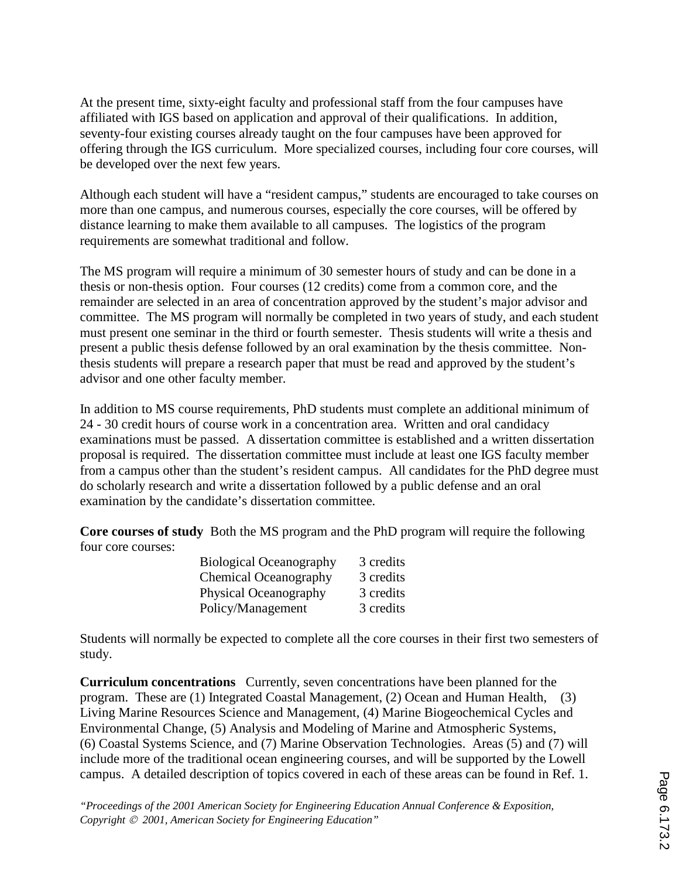At the present time, sixty-eight faculty and professional staff from the four campuses have affiliated with IGS based on application and approval of their qualifications. In addition, seventy-four existing courses already taught on the four campuses have been approved for offering through the IGS curriculum. More specialized courses, including four core courses, will be developed over the next few years.

Although each student will have a "resident campus," students are encouraged to take courses on more than one campus, and numerous courses, especially the core courses, will be offered by distance learning to make them available to all campuses. The logistics of the program requirements are somewhat traditional and follow.

The MS program will require a minimum of 30 semester hours of study and can be done in a thesis or non-thesis option. Four courses (12 credits) come from a common core, and the remainder are selected in an area of concentration approved by the student's major advisor and committee. The MS program will normally be completed in two years of study, and each student must present one seminar in the third or fourth semester. Thesis students will write a thesis and present a public thesis defense followed by an oral examination by the thesis committee. Nonthesis students will prepare a research paper that must be read and approved by the student's advisor and one other faculty member.

In addition to MS course requirements, PhD students must complete an additional minimum of 24 - 30 credit hours of course work in a concentration area. Written and oral candidacy examinations must be passed. A dissertation committee is established and a written dissertation proposal is required. The dissertation committee must include at least one IGS faculty member from a campus other than the student's resident campus. All candidates for the PhD degree must do scholarly research and write a dissertation followed by a public defense and an oral examination by the candidate's dissertation committee.

**Core courses of study** Both the MS program and the PhD program will require the following four core courses:

| <b>Biological Oceanography</b> | 3 credits |
|--------------------------------|-----------|
| <b>Chemical Oceanography</b>   | 3 credits |
| <b>Physical Oceanography</b>   | 3 credits |
| Policy/Management              | 3 credits |

Students will normally be expected to complete all the core courses in their first two semesters of study.

**Curriculum concentrations** Currently, seven concentrations have been planned for the program. These are (1) Integrated Coastal Management, (2) Ocean and Human Health, (3) Living Marine Resources Science and Management, (4) Marine Biogeochemical Cycles and Environmental Change, (5) Analysis and Modeling of Marine and Atmospheric Systems, (6) Coastal Systems Science, and (7) Marine Observation Technologies. Areas (5) and (7) will include more of the traditional ocean engineering courses, and will be supported by the Lowell campus. A detailed description of topics covered in each of these areas can be found in Ref. 1.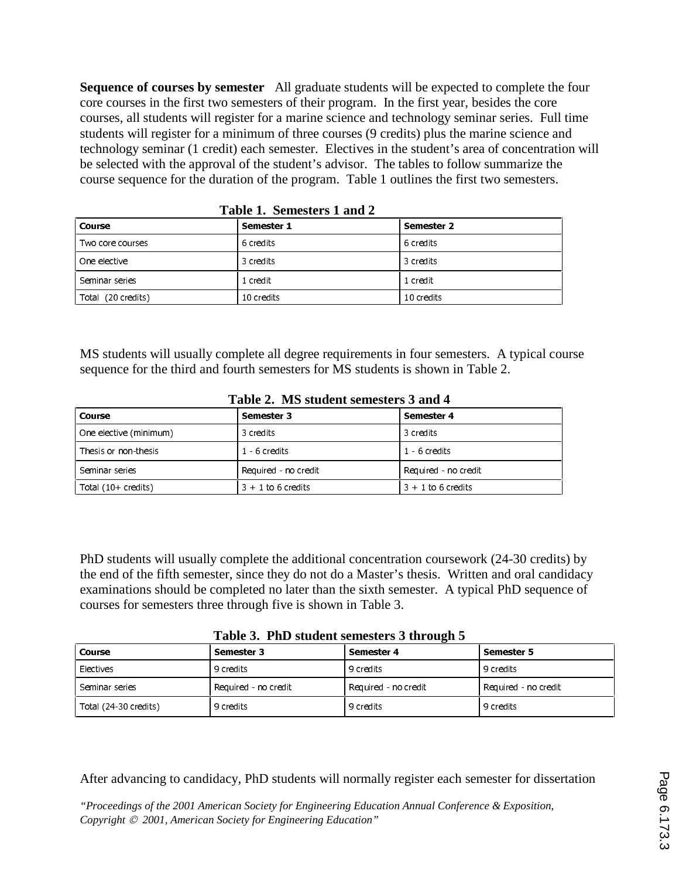**Sequence of courses by semester** All graduate students will be expected to complete the four core courses in the first two semesters of their program. In the first year, besides the core courses, all students will register for a marine science and technology seminar series. Full time students will register for a minimum of three courses (9 credits) plus the marine science and technology seminar (1 credit) each semester. Electives in the student's area of concentration will be selected with the approval of the student's advisor. The tables to follow summarize the course sequence for the duration of the program. Table 1 outlines the first two semesters.

| тарк тренсвет тана п |            |            |  |  |
|----------------------|------------|------------|--|--|
| l Course             | Semester 1 | Semester 2 |  |  |
| Two core courses     | 6 credits  | 6 credits  |  |  |
| One elective         | 3 credits  | 3 credits  |  |  |
| Seminar series       | 1 credit   | 1 credit   |  |  |
| Total (20 credits)   | 10 credits | 10 credits |  |  |

**Table 1. Semesters 1 and 2**

MS students will usually complete all degree requirements in four semesters. A typical course sequence for the third and fourth semesters for MS students is shown in Table 2.

| Table 2. The statement schiesiers $\sigma$ and $\tau$ |                                              |                      |  |  |  |
|-------------------------------------------------------|----------------------------------------------|----------------------|--|--|--|
| Course                                                | Semester 3                                   | Semester 4           |  |  |  |
| One elective (minimum)                                | 3 credits<br>3 credits                       |                      |  |  |  |
| Thesis or non-thesis                                  | 1 6 credits                                  | 1 6 credits          |  |  |  |
| Seminar series                                        | Required - no credit                         | Required - no credit |  |  |  |
| Total (10+ credits)                                   | $3 + 1$ to 6 credits<br>$3 + 1$ to 6 credits |                      |  |  |  |

**Table 2. MS student semesters 3 and 4**

PhD students will usually complete the additional concentration coursework (24-30 credits) by the end of the fifth semester, since they do not do a Master's thesis. Written and oral candidacy examinations should be completed no later than the sixth semester. A typical PhD sequence of courses for semesters three through five is shown in Table 3.

**Table 3. PhD student semesters 3 through 5**

| Course                | Semester 3           | $\overline{\phantom{a}}$<br>Semester 4 | <b>Semester 5</b>    |
|-----------------------|----------------------|----------------------------------------|----------------------|
| Electives             | 9 credits            | 9 credits                              | 9 credits            |
| Seminar series        | Required - no credit | Required - no credit                   | Required - no credit |
| Total (24-30 credits) | 9 credits            | 9 credits                              | 9 credits            |

After advancing to candidacy, PhD students will normally register each semester for dissertation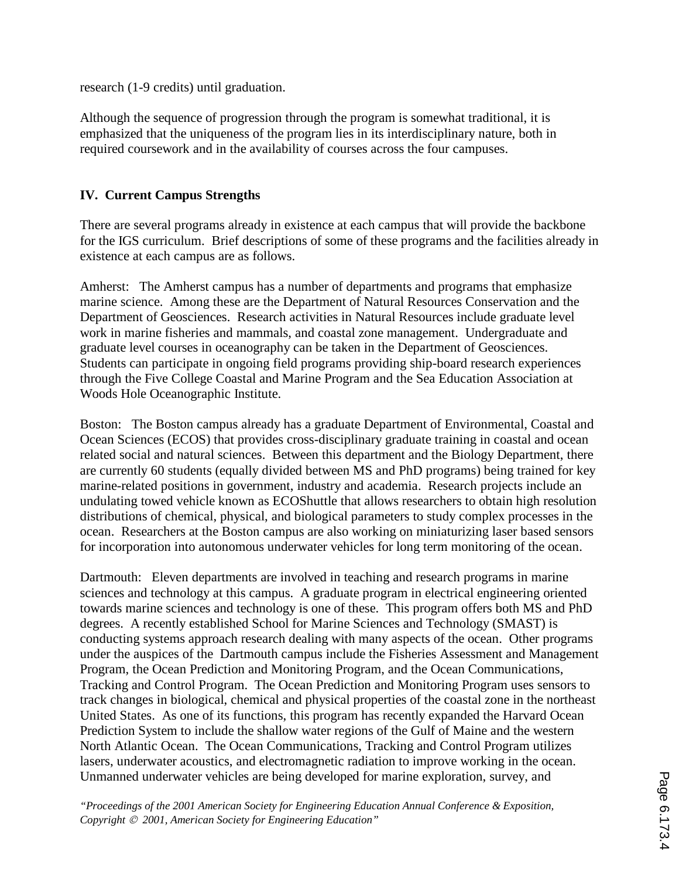research (1-9 credits) until graduation.

Although the sequence of progression through the program is somewhat traditional, it is emphasized that the uniqueness of the program lies in its interdisciplinary nature, both in required coursework and in the availability of courses across the four campuses.

### **IV. Current Campus Strengths**

There are several programs already in existence at each campus that will provide the backbone for the IGS curriculum. Brief descriptions of some of these programs and the facilities already in existence at each campus are as follows.

Amherst: The Amherst campus has a number of departments and programs that emphasize marine science. Among these are the Department of Natural Resources Conservation and the Department of Geosciences. Research activities in Natural Resources include graduate level work in marine fisheries and mammals, and coastal zone management. Undergraduate and graduate level courses in oceanography can be taken in the Department of Geosciences. Students can participate in ongoing field programs providing ship-board research experiences through the Five College Coastal and Marine Program and the Sea Education Association at Woods Hole Oceanographic Institute.

Boston: The Boston campus already has a graduate Department of Environmental, Coastal and Ocean Sciences (ECOS) that provides cross-disciplinary graduate training in coastal and ocean related social and natural sciences. Between this department and the Biology Department, there are currently 60 students (equally divided between MS and PhD programs) being trained for key marine-related positions in government, industry and academia. Research projects include an undulating towed vehicle known as ECOShuttle that allows researchers to obtain high resolution distributions of chemical, physical, and biological parameters to study complex processes in the ocean. Researchers at the Boston campus are also working on miniaturizing laser based sensors for incorporation into autonomous underwater vehicles for long term monitoring of the ocean.

Dartmouth: Eleven departments are involved in teaching and research programs in marine sciences and technology at this campus. A graduate program in electrical engineering oriented towards marine sciences and technology is one of these. This program offers both MS and PhD degrees. A recently established School for Marine Sciences and Technology (SMAST) is conducting systems approach research dealing with many aspects of the ocean. Other programs under the auspices of the Dartmouth campus include the Fisheries Assessment and Management Program, the Ocean Prediction and Monitoring Program, and the Ocean Communications, Tracking and Control Program. The Ocean Prediction and Monitoring Program uses sensors to track changes in biological, chemical and physical properties of the coastal zone in the northeast United States. As one of its functions, this program has recently expanded the Harvard Ocean Prediction System to include the shallow water regions of the Gulf of Maine and the western North Atlantic Ocean. The Ocean Communications, Tracking and Control Program utilizes lasers, underwater acoustics, and electromagnetic radiation to improve working in the ocean. Unmanned underwater vehicles are being developed for marine exploration, survey, and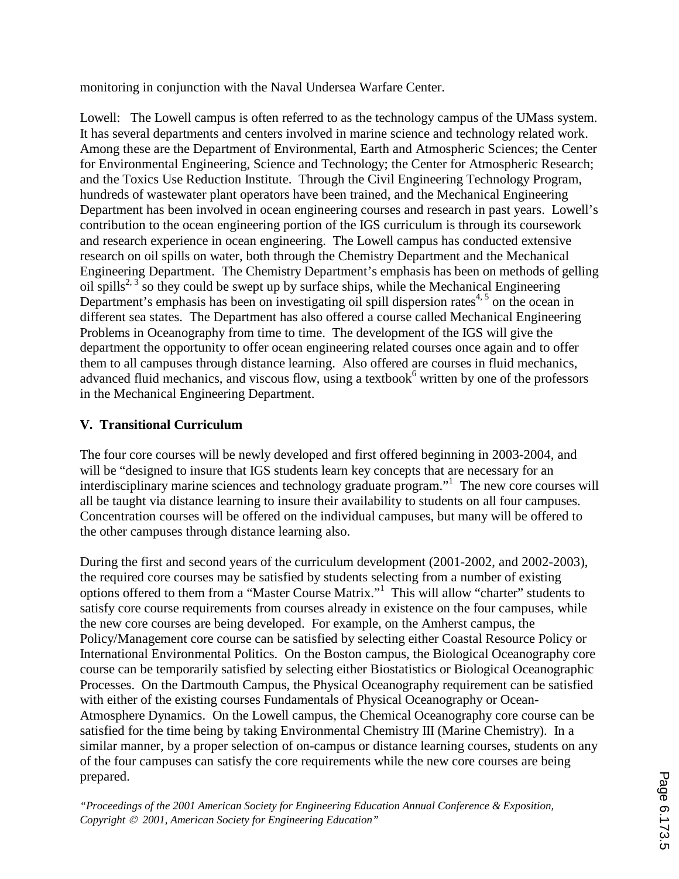monitoring in conjunction with the Naval Undersea Warfare Center.

Lowell: The Lowell campus is often referred to as the technology campus of the UMass system. It has several departments and centers involved in marine science and technology related work. Among these are the Department of Environmental, Earth and Atmospheric Sciences; the Center for Environmental Engineering, Science and Technology; the Center for Atmospheric Research; and the Toxics Use Reduction Institute. Through the Civil Engineering Technology Program, hundreds of wastewater plant operators have been trained, and the Mechanical Engineering Department has been involved in ocean engineering courses and research in past years. Lowell's contribution to the ocean engineering portion of the IGS curriculum is through its coursework and research experience in ocean engineering. The Lowell campus has conducted extensive research on oil spills on water, both through the Chemistry Department and the Mechanical Engineering Department. The Chemistry Department's emphasis has been on methods of gelling oil spills<sup>2, 3</sup> so they could be swept up by surface ships, while the Mechanical Engineering Department's emphasis has been on investigating oil spill dispersion rates<sup>4, 5</sup> on the ocean in different sea states. The Department has also offered a course called Mechanical Engineering Problems in Oceanography from time to time. The development of the IGS will give the department the opportunity to offer ocean engineering related courses once again and to offer them to all campuses through distance learning. Also offered are courses in fluid mechanics, advanced fluid mechanics, and viscous flow, using a textbook<sup>6</sup> written by one of the professors in the Mechanical Engineering Department.

# **V. Transitional Curriculum**

The four core courses will be newly developed and first offered beginning in 2003-2004, and will be "designed to insure that IGS students learn key concepts that are necessary for an interdisciplinary marine sciences and technology graduate program."<sup>1</sup> The new core courses will all be taught via distance learning to insure their availability to students on all four campuses. Concentration courses will be offered on the individual campuses, but many will be offered to the other campuses through distance learning also.

During the first and second years of the curriculum development (2001-2002, and 2002-2003), the required core courses may be satisfied by students selecting from a number of existing options offered to them from a "Master Course Matrix."<sup>1</sup> This will allow "charter" students to satisfy core course requirements from courses already in existence on the four campuses, while the new core courses are being developed. For example, on the Amherst campus, the Policy/Management core course can be satisfied by selecting either Coastal Resource Policy or International Environmental Politics. On the Boston campus, the Biological Oceanography core course can be temporarily satisfied by selecting either Biostatistics or Biological Oceanographic Processes. On the Dartmouth Campus, the Physical Oceanography requirement can be satisfied with either of the existing courses Fundamentals of Physical Oceanography or Ocean-Atmosphere Dynamics. On the Lowell campus, the Chemical Oceanography core course can be satisfied for the time being by taking Environmental Chemistry III (Marine Chemistry). In a similar manner, by a proper selection of on-campus or distance learning courses, students on any of the four campuses can satisfy the core requirements while the new core courses are being prepared.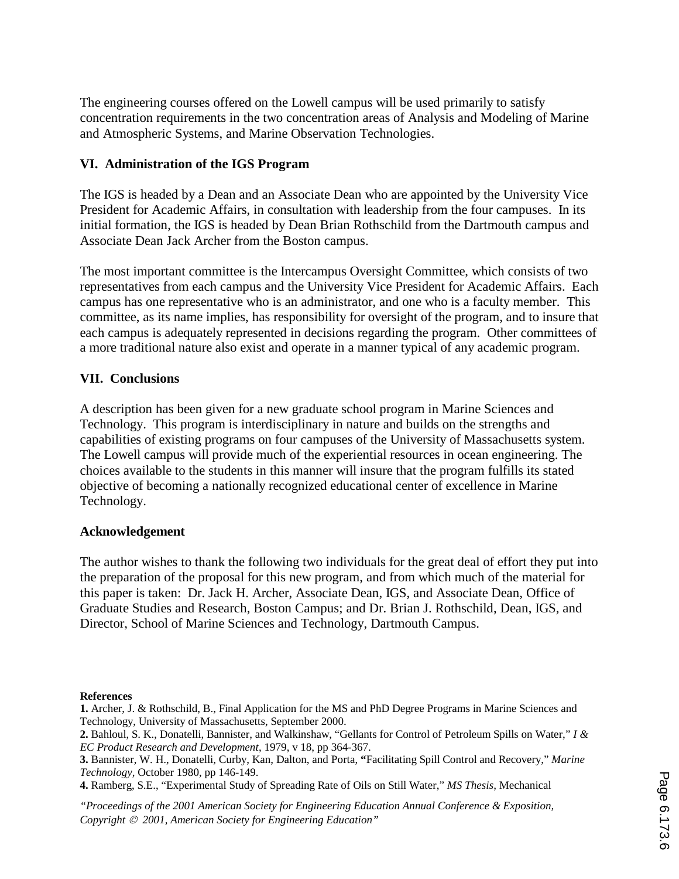The engineering courses offered on the Lowell campus will be used primarily to satisfy concentration requirements in the two concentration areas of Analysis and Modeling of Marine and Atmospheric Systems, and Marine Observation Technologies.

### **VI. Administration of the IGS Program**

The IGS is headed by a Dean and an Associate Dean who are appointed by the University Vice President for Academic Affairs, in consultation with leadership from the four campuses. In its initial formation, the IGS is headed by Dean Brian Rothschild from the Dartmouth campus and Associate Dean Jack Archer from the Boston campus.

The most important committee is the Intercampus Oversight Committee, which consists of two representatives from each campus and the University Vice President for Academic Affairs. Each campus has one representative who is an administrator, and one who is a faculty member. This committee, as its name implies, has responsibility for oversight of the program, and to insure that each campus is adequately represented in decisions regarding the program. Other committees of a more traditional nature also exist and operate in a manner typical of any academic program.

#### **VII. Conclusions**

A description has been given for a new graduate school program in Marine Sciences and Technology. This program is interdisciplinary in nature and builds on the strengths and capabilities of existing programs on four campuses of the University of Massachusetts system. The Lowell campus will provide much of the experiential resources in ocean engineering. The choices available to the students in this manner will insure that the program fulfills its stated objective of becoming a nationally recognized educational center of excellence in Marine Technology.

#### **Acknowledgement**

The author wishes to thank the following two individuals for the great deal of effort they put into the preparation of the proposal for this new program, and from which much of the material for this paper is taken: Dr. Jack H. Archer, Associate Dean, IGS, and Associate Dean, Office of Graduate Studies and Research, Boston Campus; and Dr. Brian J. Rothschild, Dean, IGS, and Director, School of Marine Sciences and Technology, Dartmouth Campus.

#### **References**

**1.** Archer, J. & Rothschild, B., Final Application for the MS and PhD Degree Programs in Marine Sciences and Technology, University of Massachusetts, September 2000.

**<sup>2.</sup>** Bahloul, S. K., Donatelli, Bannister, and Walkinshaw, "Gellants for Control of Petroleum Spills on Water," *I & EC Product Research and Development*, 1979, v 18, pp 364-367.

**<sup>3.</sup>** Bannister, W. H., Donatelli, Curby, Kan, Dalton, and Porta, **"**Facilitating Spill Control and Recovery," *Marine Technology*, October 1980, pp 146-149.

**<sup>4.</sup>** Ramberg, S.E., "Experimental Study of Spreading Rate of Oils on Still Water," *MS Thesis*, Mechanical